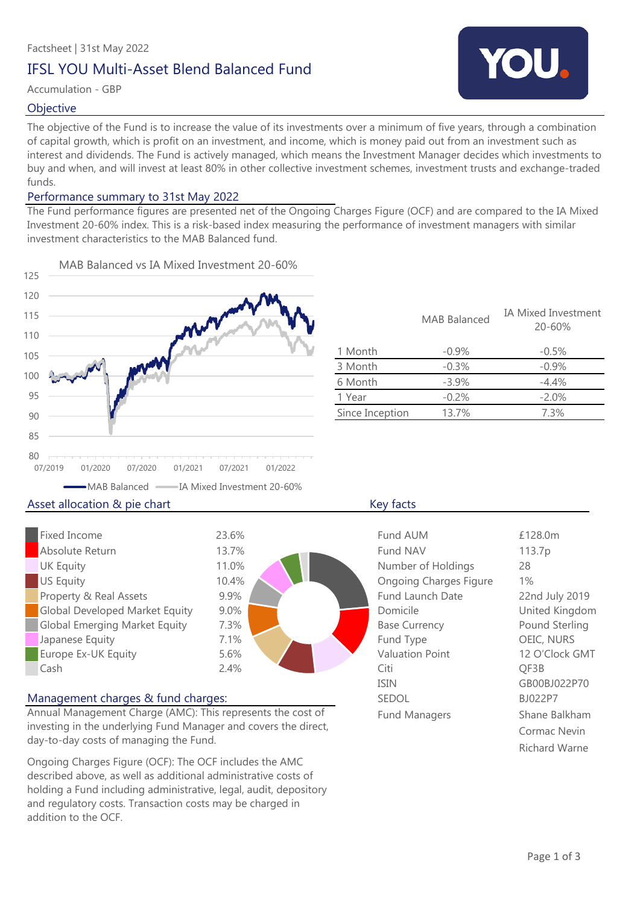## IFSL YOU Multi-Asset Blend Balanced Fund

### Accumulation - GBP

### **Objective**

The objective of the Fund is to increase the value of its investments over a minimum of five years, through a combination of capital growth, which is profit on an investment, and income, which is money paid out from an investment such as interest and dividends. The Fund is actively managed, which means the Investment Manager decides which investments to buy and when, and will invest at least 80% in other collective investment schemes, investment trusts and exchange-traded funds.

### Performance summary to 31st May 2022

The Fund performance figures are presented net of the Ongoing Charges Figure (OCF) and are compared to the IA Mixed Investment 20-60% index. This is a risk-based index measuring the performance of investment managers with similar investment characteristics to the MAB Balanced fund.



|                 | <b>MAB Balanced</b> | <b>IA Mixed Investment</b><br>$20 - 60%$ |
|-----------------|---------------------|------------------------------------------|
| 1 Month         | $-0.9\%$            | $-0.5\%$                                 |
| 3 Month         | $-0.3%$             | $-0.9%$                                  |
| 6 Month         | $-3.9%$             | $-4.4%$                                  |
| 1 Year          | $-0.2%$             | $-2.0%$                                  |
| Since Inception | 13.7%               | 7.3%                                     |
|                 |                     |                                          |

### Fixed Income Absolute Return **UK Equity** US Equity Property & Real Assets **Global Developed Market Equity Global Emerging Market Equity** Japanese Equity Europe Ex-UK Equity Cash Citi 23.6% 13.7% 11.0% 10.4% 9.9% 2.4% 7.3% 7.1% 5.6% 9.0%

### Management charges & fund charges:

Annual Management Charge (AMC): This represents the cost of investing in the underlying Fund Manager and covers the direct, day-to-day costs of managing the Fund.

Ongoing Charges Figure (OCF): The OCF includes the AMC described above, as well as additional administrative costs of holding a Fund including administrative, legal, audit, depository and regulatory costs. Transaction costs may be charged in addition to the OCF.

| Fund AUM                      | £128.0m        |
|-------------------------------|----------------|
| Fund NAV                      | 113.7p         |
| Number of Holdings            | 28             |
| <b>Ongoing Charges Figure</b> | $1\%$          |
| <b>Fund Launch Date</b>       | 22nd July 2019 |
| Domicile                      | United Kingdom |
| <b>Base Currency</b>          | Pound Sterling |
| Fund Type                     | OEIC, NURS     |
| <b>Valuation Point</b>        | 12 O'Clock GMT |
| Citi                          | QF3B           |
| <b>ISIN</b>                   | GB00BJ022P70   |
| <b>SEDOL</b>                  | BJ022P7        |
| <b>Fund Managers</b>          | Shane Balkham  |
|                               | Cormac Nevin   |
|                               | Richard Warne  |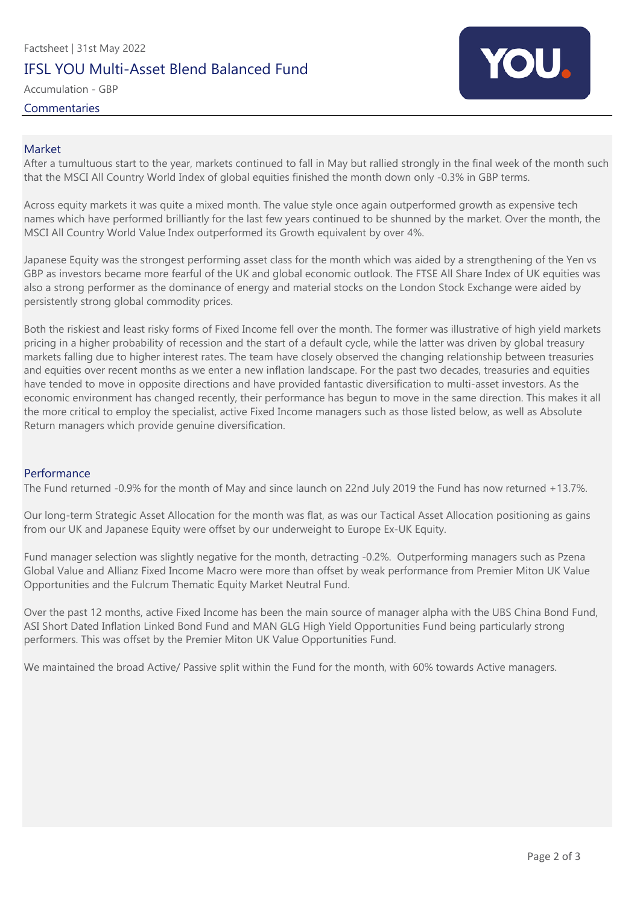# Factsheet | 31st May 2022 IFSL YOU Multi-Asset Blend Balanced Fund

Accumulation - GBP

Commentaries



### Market

After a tumultuous start to the year, markets continued to fall in May but rallied strongly in the final week of the month such that the MSCI All Country World Index of global equities finished the month down only -0.3% in GBP terms.

Across equity markets it was quite a mixed month. The value style once again outperformed growth as expensive tech names which have performed brilliantly for the last few years continued to be shunned by the market. Over the month, the MSCI All Country World Value Index outperformed its Growth equivalent by over 4%.

Japanese Equity was the strongest performing asset class for the month which was aided by a strengthening of the Yen vs GBP as investors became more fearful of the UK and global economic outlook. The FTSE All Share Index of UK equities was also a strong performer as the dominance of energy and material stocks on the London Stock Exchange were aided by persistently strong global commodity prices.

Both the riskiest and least risky forms of Fixed Income fell over the month. The former was illustrative of high yield markets pricing in a higher probability of recession and the start of a default cycle, while the latter was driven by global treasury markets falling due to higher interest rates. The team have closely observed the changing relationship between treasuries and equities over recent months as we enter a new inflation landscape. For the past two decades, treasuries and equities have tended to move in opposite directions and have provided fantastic diversification to multi-asset investors. As the economic environment has changed recently, their performance has begun to move in the same direction. This makes it all the more critical to employ the specialist, active Fixed Income managers such as those listed below, as well as Absolute Return managers which provide genuine diversification.

### Performance

The Fund returned -0.9% for the month of May and since launch on 22nd July 2019 the Fund has now returned +13.7%.

Our long-term Strategic Asset Allocation for the month was flat, as was our Tactical Asset Allocation positioning as gains from our UK and Japanese Equity were offset by our underweight to Europe Ex-UK Equity.

Fund manager selection was slightly negative for the month, detracting -0.2%. Outperforming managers such as Pzena Global Value and Allianz Fixed Income Macro were more than offset by weak performance from Premier Miton UK Value Opportunities and the Fulcrum Thematic Equity Market Neutral Fund.

Over the past 12 months, active Fixed Income has been the main source of manager alpha with the UBS China Bond Fund, ASI Short Dated Inflation Linked Bond Fund and MAN GLG High Yield Opportunities Fund being particularly strong performers. This was offset by the Premier Miton UK Value Opportunities Fund.

We maintained the broad Active/ Passive split within the Fund for the month, with 60% towards Active managers.